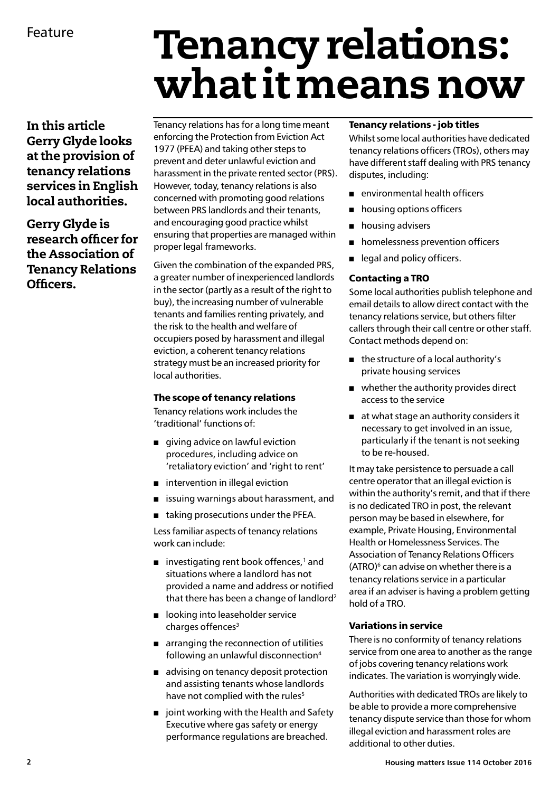# Tenancy relations: what it means now

In this article Gerry Glyde looks at the provision of tenancy relations services in English local authorities.

## Gerry Glyde is research officer for the Association of Tenancy Relations Officers.

Tenancy relations has for a long time meant enforcing the Protection from Eviction Act 1977 (PFEA) and taking other steps to prevent and deter unlawful eviction and harassment in the private rented sector (PRS). However, today, tenancy relations is also concerned with promoting good relations between PRS landlords and their tenants, and encouraging good practice whilst ensuring that properties are managed within proper legal frameworks.

Given the combination of the expanded PRS, a greater number of inexperienced landlords in the sector (partly as a result of the right to buy), the increasing number of vulnerable tenants and families renting privately, and the risk to the health and welfare of occupiers posed by harassment and illegal eviction, a coherent tenancy relations strategy must be an increased priority for local authorities.

## The scope of tenancy relations

Tenancy relations work includes the 'traditional' functions of:

- $\Box$  giving advice on lawful eviction procedures, including advice on 'retaliatory eviction' and 'right to rent'
- $\blacksquare$  intervention in illegal eviction
- $\blacksquare$  issuing warnings about harassment, and
- $\blacksquare$  taking prosecutions under the PFEA.

Less familiar aspects of tenancy relations work can include:

- $\blacksquare$  investigating rent book offences,<sup>1</sup> and situations where a landlord has not provided a name and address or notified that there has been a change of landlord<sup>2</sup>
- $\Box$  looking into leaseholder service charges offences<sup>3</sup>
- $\blacksquare$  arranging the reconnection of utilities following an unlawful disconnection<sup>4</sup>
- $\blacksquare$  advising on tenancy deposit protection and assisting tenants whose landlords have not complied with the rules<sup>5</sup>
- $\blacksquare$  joint working with the Health and Safety Executive where gas safety or energy performance regulations are breached.

### Tenancy relations - job titles

Whilst some local authorities have dedicated tenancy relations officers (TROs), others may have different staff dealing with PRS tenancy disputes, including:

- $\blacksquare$  environmental health officers
- **n** housing options officers
- $\blacksquare$  housing advisers
- homelessness prevention officers
- e legal and policy officers.

## Contacting a TRO

Some local authorities publish telephone and email details to allow direct contact with the tenancy relations service, but others filter callers through their call centre or other staff. Contact methods depend on:

- $\blacksquare$  the structure of a local authority's private housing services
- $\blacksquare$  whether the authority provides direct access to the service
- at what stage an authority considers it necessary to get involved in an issue, particularly if the tenant is not seeking to be re-housed.

It may take persistence to persuade a call centre operator that an illegal eviction is within the authority's remit, and that if there is no dedicated TRO in post, the relevant person may be based in elsewhere, for example, Private Housing, Environmental Health or Homelessness Services. The Association of Tenancy Relations Officers  $(ATRO)^6$  can advise on whether there is a tenancy relations service in a particular area if an adviser is having a problem getting hold of a TRO.

## Variations in service

There is no conformity of tenancy relations service from one area to another as the range of jobs covering tenancy relations work indicates. The variation is worryingly wide.

Authorities with dedicated TROs are likely to be able to provide a more comprehensive tenancy dispute service than those for whom illegal eviction and harassment roles are additional to other duties.